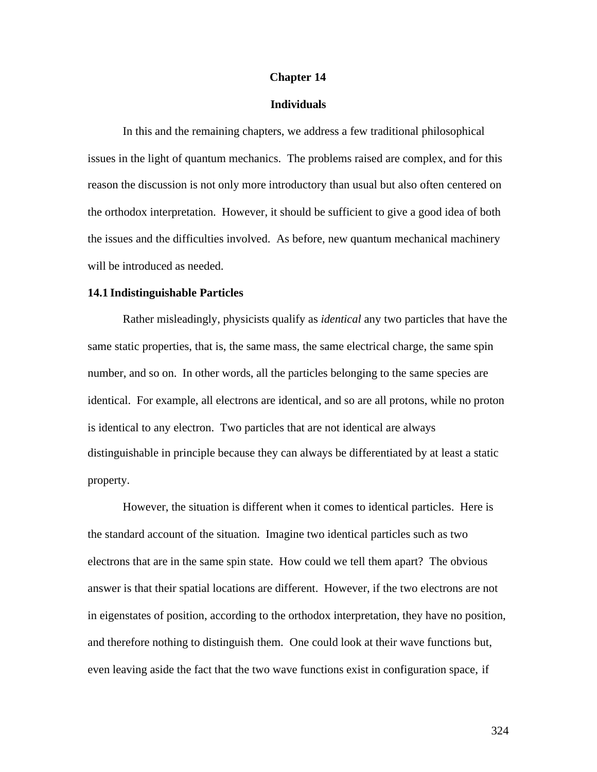#### **Chapter 14**

## **Individuals**

In this and the remaining chapters, we address a few traditional philosophical issues in the light of quantum mechanics. The problems raised are complex, and for this reason the discussion is not only more introductory than usual but also often centered on the orthodox interpretation. However, it should be sufficient to give a good idea of both the issues and the difficulties involved. As before, new quantum mechanical machinery will be introduced as needed.

#### **14.1 Indistinguishable Particles**

Rather misleadingly, physicists qualify as *identical* any two particles that have the same static properties, that is, the same mass, the same electrical charge, the same spin number, and so on. In other words, all the particles belonging to the same species are identical. For example, all electrons are identical, and so are all protons, while no proton is identical to any electron. Two particles that are not identical are always distinguishable in principle because they can always be differentiated by at least a static property.

However, the situation is different when it comes to identical particles. Here is the standard account of the situation. Imagine two identical particles such as two electrons that are in the same spin state. How could we tell them apart? The obvious answer is that their spatial locations are different. However, if the two electrons are not in eigenstates of position, according to the orthodox interpretation, they have no position, and therefore nothing to distinguish them. One could look at their wave functions but, even leaving aside the fact that the two wave functions exist in configuration space, if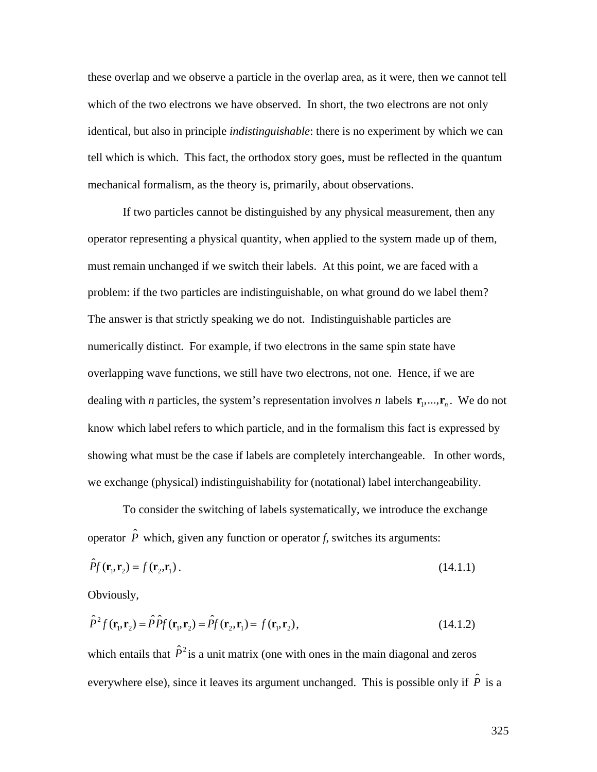these overlap and we observe a particle in the overlap area, as it were, then we cannot tell which of the two electrons we have observed. In short, the two electrons are not only identical, but also in principle *indistinguishable*: there is no experiment by which we can tell which is which. This fact, the orthodox story goes, must be reflected in the quantum mechanical formalism, as the theory is, primarily, about observations.

If two particles cannot be distinguished by any physical measurement, then any operator representing a physical quantity, when applied to the system made up of them, must remain unchanged if we switch their labels. At this point, we are faced with a problem: if the two particles are indistinguishable, on what ground do we label them? The answer is that strictly speaking we do not. Indistinguishable particles are numerically distinct. For example, if two electrons in the same spin state have overlapping wave functions, we still have two electrons, not one. Hence, if we are dealing with *n* particles, the system's representation involves *n* labels  $\mathbf{r}_1, \dots, \mathbf{r}_n$ . We do not showing what must be the case if labels are completely interchangeable. In other words, know which label refers to which particle, and in the formalism this fact is expressed by we exchange (physical) indistinguishability for (notational) label interchangeability.

To consider the switching of labels systematically, we introduce the exchange operator  $\hat{P}$  which, given any function or operator *f*, switches its arguments:

$$
\hat{P}f(\mathbf{r}_1, \mathbf{r}_2) = f(\mathbf{r}_2, \mathbf{r}_1). \tag{14.1.1}
$$

Obviously,

$$
\hat{P}^2 f(\mathbf{r}_1, \mathbf{r}_2) = \hat{P} \hat{P} f(\mathbf{r}_1, \mathbf{r}_2) = \hat{P} f(\mathbf{r}_2, \mathbf{r}_1) = f(\mathbf{r}_1, \mathbf{r}_2),
$$
\n(14.1.2)

which entails that  $\hat{P}^2$  is a unit matrix (one with ones in the main diagonal and zeros everywhere else), since it leaves its argument unchanged. This is possible only if  $\hat{P}$  is a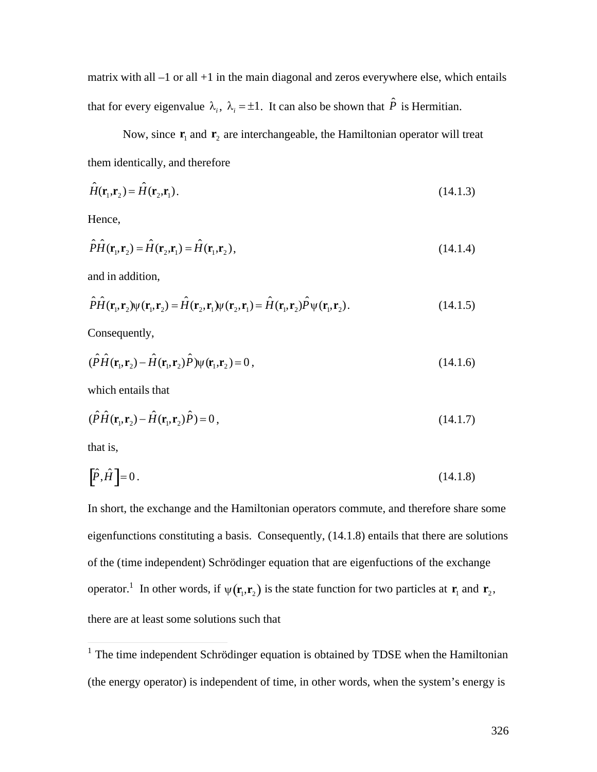matrix with all  $-1$  or all  $+1$  in the main diagonal and zeros everywhere else, which entails that for every eigenvalue  $\lambda_i$ ,  $\lambda_i = \pm 1$ . It can also be shown that  $\hat{P}$  is Hermitian.

them identically, and therefore Now, since  $\mathbf{r}_1$  and  $\mathbf{r}_2$  are interchangeable, the Hamiltonian operator will treat

$$
\hat{H}(\mathbf{r}_1, \mathbf{r}_2) = \hat{H}(\mathbf{r}_2, \mathbf{r}_1). \tag{14.1.3}
$$

Hence,

$$
\hat{P}\hat{H}(\mathbf{r}_1,\mathbf{r}_2) = \hat{H}(\mathbf{r}_2,\mathbf{r}_1) = \hat{H}(\mathbf{r}_1,\mathbf{r}_2),\tag{14.1.4}
$$

and in addition,

$$
\hat{P}\hat{H}(\mathbf{r}_1, \mathbf{r}_2)\psi(\mathbf{r}_1, \mathbf{r}_2) = \hat{H}(\mathbf{r}_2, \mathbf{r}_1)\psi(\mathbf{r}_2, \mathbf{r}_1) = \hat{H}(\mathbf{r}_1, \mathbf{r}_2)\hat{P}\psi(\mathbf{r}_1, \mathbf{r}_2).
$$
(14.1.5)

Consequently,

$$
(\hat{P}\hat{H}(\mathbf{r}_1,\mathbf{r}_2) - \hat{H}(\mathbf{r}_1,\mathbf{r}_2)\hat{P})\psi(\mathbf{r}_1,\mathbf{r}_2) = 0, \qquad (14.1.6)
$$

which entails that

$$
(\hat{P}\hat{H}(\mathbf{r}_1,\mathbf{r}_2) - \hat{H}(\mathbf{r}_1,\mathbf{r}_2)\hat{P}) = 0, \qquad (14.1.7)
$$

that is,

$$
\left[\hat{P}, \hat{H}\right] = 0\,. \tag{14.1.8}
$$

In short, the exchange and the Hamiltonian operators commute, and therefore share some eigenfunctions constituting a basis. Consequently, (14.1.8) entails that there are solutions of the (time independent) Schrödinger equation that are eigenfuctions of the exchange operator.<sup>1</sup> In other words, if  $\psi(\mathbf{r}_1, \mathbf{r}_2)$  is the state function for two particles at  $\mathbf{r}_1$  and  $\mathbf{r}_2$ , there are at least some solutions such that

<sup>&</sup>lt;sup>1</sup> The time independent Schrödinger equation is obtained by TDSE when the Hamiltonian (the energy operator) is independent of time, in other words, when the system's energy is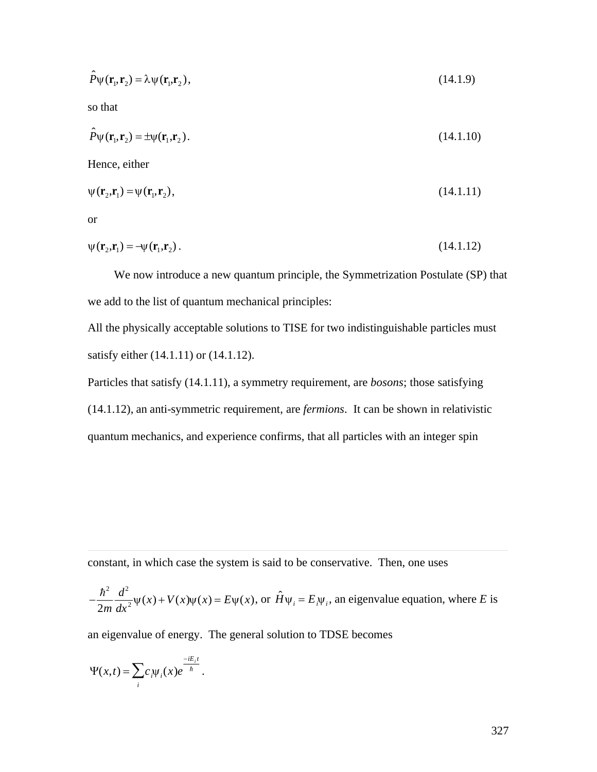$$
\hat{P}\psi(\mathbf{r}_1, \mathbf{r}_2) = \lambda \psi(\mathbf{r}_1, \mathbf{r}_2),\tag{14.1.9}
$$

so that

$$
\hat{P}\psi(\mathbf{r}_1, \mathbf{r}_2) = \pm \psi(\mathbf{r}_1, \mathbf{r}_2). \tag{14.1.10}
$$

Hence, either

$$
\psi(\mathbf{r}_2, \mathbf{r}_1) = \psi(\mathbf{r}_1, \mathbf{r}_2),\tag{14.1.11}
$$

or

 $\overline{a}$ 

$$
\psi(\mathbf{r}_2, \mathbf{r}_1) = -\psi(\mathbf{r}_1, \mathbf{r}_2). \tag{14.1.12}
$$

We now introduce a new quantum principle, the Symmetrization Postulate (SP) that we add to the list of quantum mechanical principles:

All the physically acceptable solutions to TISE for two indistinguishable particles must satisfy either (14.1.11) or (14.1.12).

Particles that satisfy (14.1.11), a symmetry requirement, are *bosons*; those satisfying (14.1.12), an anti-symmetric requirement, are *fermions*. It can be shown in relativistic quantum mechanics, and experience confirms, that all particles with an integer spin

constant, in which case the system is said to be conservative. Then, one uses

$$
-\frac{\hbar^2}{2m}\frac{d^2}{dx^2}\psi(x) + V(x)\psi(x) = E\psi(x), \text{ or } \hat{H}\psi_i = E_i\psi_i, \text{ an eigenvalue equation, where } E \text{ is}
$$

an eigenvalue of energy. The general solution to TDSE becomes

$$
\Psi(x,t)=\sum_i c_i \Psi_i(x)e^{\frac{-iE_i t}{\hbar}}.
$$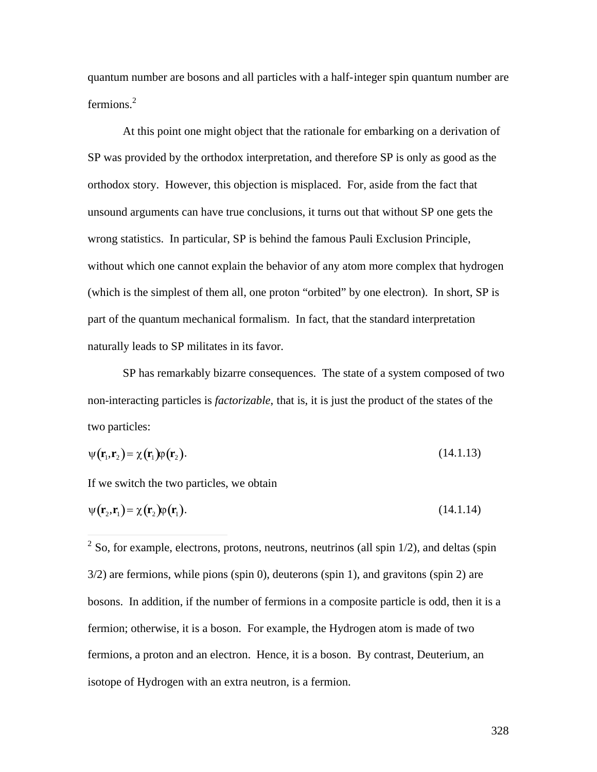quantum number are bosons and all particles with a half-integer spin quantum number are fermions.<sup>2</sup>

At this point one might object that the rationale for embarking on a derivation of SP was provided by the orthodox interpretation, and therefore SP is only as good as the orthodox story. However, this objection is misplaced. For, aside from the fact that unsound arguments can have true conclusions, it turns out that without SP one gets the wrong statistics. In particular, SP is behind the famous Pauli Exclusion Principle, without which one cannot explain the behavior of any atom more complex that hydrogen (which is the simplest of them all, one proton "orbited" by one electron). In short, SP is part of the quantum mechanical formalism. In fact, that the standard interpretation naturally leads to SP militates in its favor.

SP has remarkably bizarre consequences. The state of a system composed of two non-interacting particles is *factorizable*, that is, it is just the product of the states of the two particles:

$$
\psi(\mathbf{r}_1, \mathbf{r}_2) = \chi(\mathbf{r}_1)\varphi(\mathbf{r}_2). \tag{14.1.13}
$$

If we switch the two particles, we obtain

$$
\psi(\mathbf{r}_2, \mathbf{r}_1) = \chi(\mathbf{r}_2)\varphi(\mathbf{r}_1). \tag{14.1.14}
$$

<sup>&</sup>lt;sup>2</sup> So, for example, electrons, protons, neutrons, neutrinos (all spin 1/2), and deltas (spin <sup>2</sup> 3/2) are fermions, while pions (spin 0), deuterons (spin 1), and gravitons (spin 2) are bosons. In addition, if the number of fermions in a composite particle is odd, then it is a fermion; otherwise, it is a boson. For example, the Hydrogen atom is made of two fermions, a proton and an electron. Hence, it is a boson. By contrast, Deuterium, an isotope of Hydrogen with an extra neutron, is a fermion.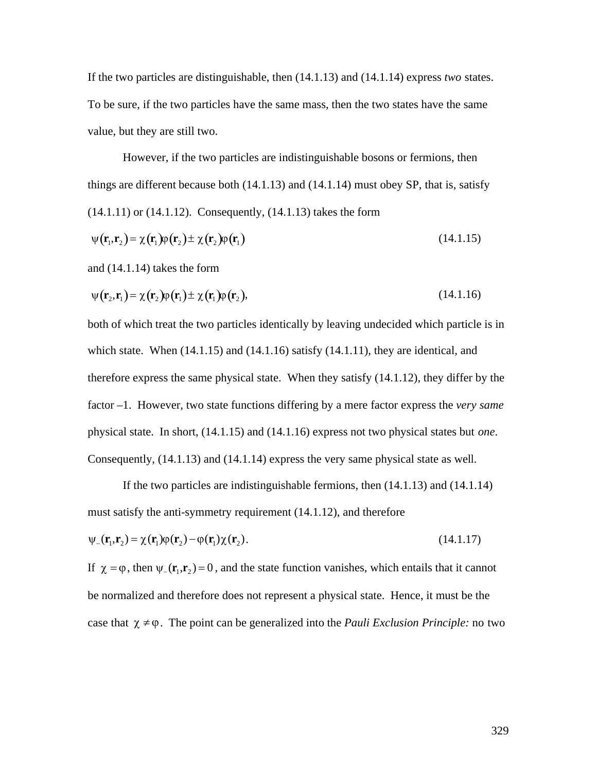If the two particles are distinguishable, then (14.1.13) and (14.1.14) express *two* states. To be sure, if the two particles have the same mass, then the two states have the same value, but they are still two.

However, if the two particles are indistinguishable bosons or fermions, then things are different because both (14.1.13) and (14.1.14) must obey SP, that is, satisfy (14.1.11) or (14.1.12). Consequently, (14.1.13) takes the form

$$
\psi(\mathbf{r}_1, \mathbf{r}_2) = \chi(\mathbf{r}_1)\phi(\mathbf{r}_2) \pm \chi(\mathbf{r}_2)\phi(\mathbf{r}_1)
$$
\n(14.1.15)

and (14.1.14) takes the form

$$
\psi(\mathbf{r}_2, \mathbf{r}_1) = \chi(\mathbf{r}_2)\varphi(\mathbf{r}_1) \pm \chi(\mathbf{r}_1)\varphi(\mathbf{r}_2), \tag{14.1.16}
$$

both of which treat the two particles identically by leaving undecided which particle is in which state. When  $(14.1.15)$  and  $(14.1.16)$  satisfy  $(14.1.11)$ , they are identical, and therefore express the same physical state. When they satisfy (14.1.12), they differ by the factor –1. However, two state functions differing by a mere factor express the *very same* physical state. In short, (14.1.15) and (14.1.16) express not two physical states but *one*. Consequently, (14.1.13) and (14.1.14) express the very same physical state as well.

If the two particles are indistinguishable fermions, then (14.1.13) and (14.1.14) must satisfy the anti-symmetry requirement (14.1.12), and therefore

$$
\psi_{-}(\mathbf{r}_{1},\mathbf{r}_{2}) = \chi(\mathbf{r}_{1})\varphi(\mathbf{r}_{2}) - \varphi(\mathbf{r}_{1})\chi(\mathbf{r}_{2}).
$$
\n(14.1.17)

If  $\chi = \varphi$ , then  $\psi_{-}(\mathbf{r}_1, \mathbf{r}_2) = 0$ , and the state function vanishes, which entails that it cannot be normalized and therefore does not represent a physical state. Hence, it must be the case that  $\chi \neq \varphi$ . The point can be generalized into the *Pauli Exclusion Principle:* no two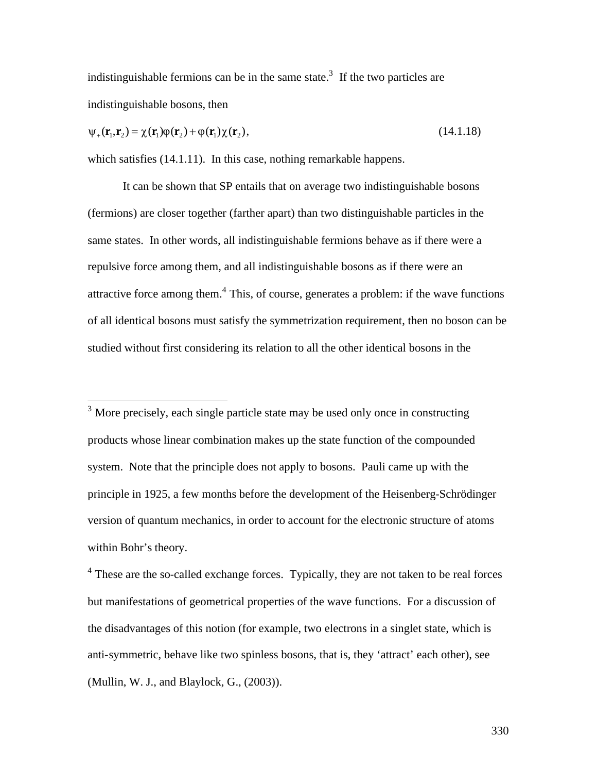indistinguishable fermions can be in the same state.<sup>3</sup> If the two particles are indistinguishable bosons, then

$$
\psi_{+}(\mathbf{r}_{1},\mathbf{r}_{2}) = \chi(\mathbf{r}_{1})\phi(\mathbf{r}_{2}) + \phi(\mathbf{r}_{1})\chi(\mathbf{r}_{2}), \qquad (14.1.18)
$$

which satisfies (14.1.11). In this case, nothing remarkable happens.

It can be shown that SP entails that on average two indistinguishable bosons (fermions) are closer together (farther apart) than two distinguishable particles in the same states. In other words, all indistinguishable fermions behave as if there were a repulsive force among them, and all indistinguishable bosons as if there were an attractive force among them.<sup>4</sup> This, of course, generates a problem: if the wave functions of all identical bosons must satisfy the symmetrization requirement, then no boson can be studied without first considering its relation to all the other identical bosons in the

<sup>3</sup> More precisely, each single particle state may be used only once in constructing products whose linear combination makes up the state function of the compounded system. Note that the principle does not apply to bosons. Pauli came up with the principle in 1925, a few months before the development of the Heisenberg-Schrödinger version of quantum mechanics, in order to account for the electronic structure of atoms within Bohr's theory.

<sup>4</sup> These are the so-called exchange forces. Typically, they are not taken to be real forces but manifestations of geometrical properties of the wave functions. For a discussion of the disadvantages of this notion (for example, two electrons in a singlet state, which is anti-symmetric, behave like two spinless bosons, that is, they 'attract' each other), see (Mullin, W. J., and Blaylock, G., (2003)).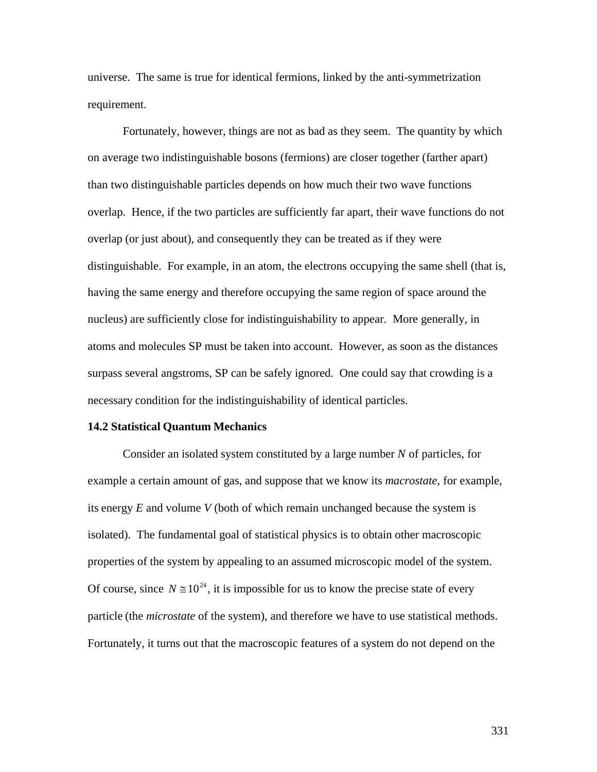universe. The same is true for identical fermions, linked by the anti-symmetrization requirement.

Fortunately, however, things are not as bad as they seem. The quantity by which on average two indistinguishable bosons (fermions) are closer together (farther apart) than two distinguishable particles depends on how much their two wave functions overlap. Hence, if the two particles are sufficiently far apart, their wave functions do not overlap (or just about), and consequently they can be treated as if they were distinguishable. For example, in an atom, the electrons occupying the same shell (that is, having the same energy and therefore occupying the same region of space around the nucleus) are sufficiently close for indistinguishability to appear. More generally, in atoms and molecules SP must be taken into account. However, as soon as the distances surpass several angstroms, SP can be safely ignored. One could say that crowding is a necessary condition for the indistinguishability of identical particles.

#### **14.2 Statistical Quantum Mechanics**

Consider an isolated system constituted by a large number *N* of particles, for example a certain amount of gas, and suppose that we know its *macrostate*, for example, its energy *E* and volume *V* (both of which remain unchanged because the system is isolated). The fundamental goal of statistical physics is to obtain other macroscopic properties of the system by appealing to an assumed microscopic model of the system. Of course, since  $N \approx 10^{24}$ , it is impossible for us to know the precise state of every † Fortunately, it turns out that the macroscopic features of a system do not depend on the particle (the *microstate* of the system), and therefore we have to use statistical methods.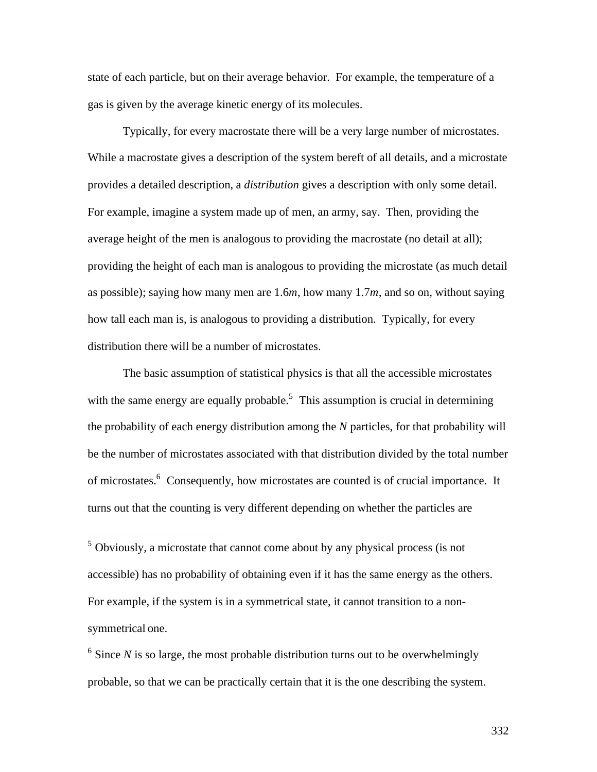state of each particle, but on their average behavior. For example, the temperature of a gas is given by the average kinetic energy of its molecules.

Typically, for every macrostate there will be a very large number of microstates. While a macrostate gives a description of the system bereft of all details, and a microstate provides a detailed description, a *distribution* gives a description with only some detail. For example, imagine a system made up of men, an army, say. Then, providing the average height of the men is analogous to providing the macrostate (no detail at all); providing the height of each man is analogous to providing the microstate (as much detail as possible); saying how many men are 1.6*m*, how many 1.7*m*, and so on, without saying how tall each man is, is analogous to providing a distribution. Typically, for every distribution there will be a number of microstates.

The basic assumption of statistical physics is that all the accessible microstates with the same energy are equally probable.<sup>5</sup> This assumption is crucial in determining the probability of each energy distribution among the *N* particles, for that probability will be the number of microstates associated with that distribution divided by the total number of microstates.<sup>6</sup> Consequently, how microstates are counted is of crucial importance. It turns out that the counting is very different depending on whether the particles are

 $6$  Since *N* is so large, the most probable distribution turns out to be overwhelmingly probable, so that we can be practically certain that it is the one describing the system.

<sup>&</sup>lt;sup>5</sup> Obviously, a microstate that cannot come about by any physical process (is not accessible) has no probability of obtaining even if it has the same energy as the others. For example, if the system is in a symmetrical state, it cannot transition to a nonsymmetrical one.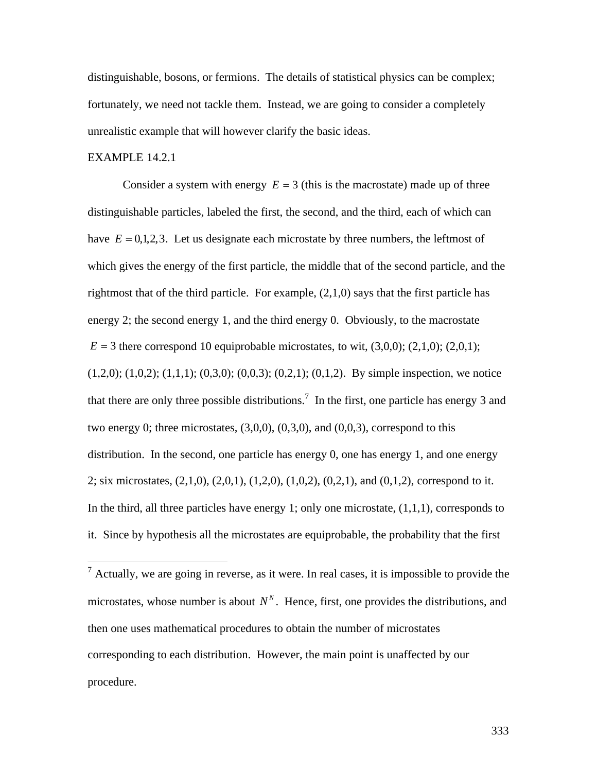distinguishable, bosons, or fermions. The details of statistical physics can be complex; fortunately, we need not tackle them. Instead, we are going to consider a completely unrealistic example that will however clarify the basic ideas.

### EXAMPLE 14.2.1

Consider a system with energy  $E = 3$  (this is the macrostate) made up of three have  $E = 0,1,2,3$ . Let us designate each microstate by three numbers, the leftmost of distinguishable particles, labeled the first, the second, and the third, each of which can rightmost that of the third particle. For example, (2,1,0) says that the first particle has which gives the energy of the first particle, the middle that of the second particle, and the energy 2; the second energy 1, and the third energy 0. Obviously, to the macrostate  $E = 3$  there correspond 10 equiprobable microstates, to wit,  $(3,0,0)$ ;  $(2,1,0)$ ;  $(2,0,1)$ ;  $(1,2,0)$ ;  $(1,0,2)$ ;  $(1,1,1)$ ;  $(0,3,0)$ ;  $(0,0,3)$ ;  $(0,2,1)$ ;  $(0,1,2)$ . By simple inspection, we notice that there are only three possible distributions.<sup>7</sup> In the first, one particle has energy 3 and two energy 0; three microstates,  $(3,0,0)$ ,  $(0,3,0)$ , and  $(0,0,3)$ , correspond to this distribution. In the second, one particle has energy 0, one has energy 1, and one energy 2; six microstates,  $(2,1,0)$ ,  $(2,0,1)$ ,  $(1,2,0)$ ,  $(1,0,2)$ ,  $(0,2,1)$ , and  $(0,1,2)$ , correspond to it. In the third, all three particles have energy 1; only one microstate,  $(1,1,1)$ , corresponds to it. Since by hypothesis all the microstates are equiprobable, the probability that the first

 $\frac{7}{7}$  Actually, we are going in reverse, as it were. In real cases, it is impossible to provide the microstates, whose number is about  $N<sup>N</sup>$ . Hence, first, one provides the distributions, and † corresponding to each distribution. However, the main point is unaffected by our then one uses mathematical procedures to obtain the number of microstates procedure.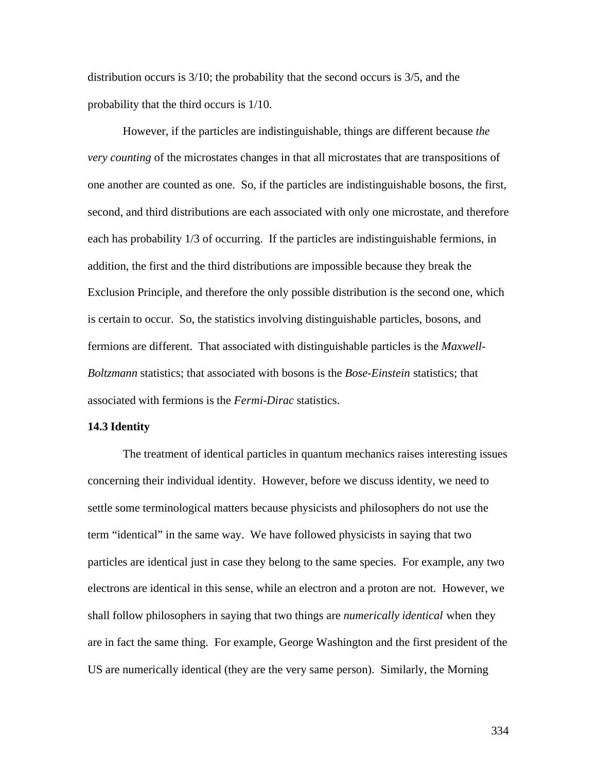distribution occurs is 3/10; the probability that the second occurs is 3/5, and the probability that the third occurs is 1/10.

However, if the particles are indistinguishable, things are different because *the very counting* of the microstates changes in that all microstates that are transpositions of one another are counted as one. So, if the particles are indistinguishable bosons, the first, second, and third distributions are each associated with only one microstate, and therefore each has probability 1/3 of occurring. If the particles are indistinguishable fermions, in addition, the first and the third distributions are impossible because they break the Exclusion Principle, and therefore the only possible distribution is the second one, which is certain to occur. So, the statistics involving distinguishable particles, bosons, and fermions are different. That associated with distinguishable particles is the *Maxwell-Boltzmann* statistics; that associated with bosons is the *Bose-Einstein* statistics; that associated with fermions is the *Fermi-Dirac* statistics.

#### **14.3 Identity**

The treatment of identical particles in quantum mechanics raises interesting issues concerning their individual identity. However, before we discuss identity, we need to settle some terminological matters because physicists and philosophers do not use the term "identical" in the same way. We have followed physicists in saying that two particles are identical just in case they belong to the same species. For example, any two electrons are identical in this sense, while an electron and a proton are not. However, we shall follow philosophers in saying that two things are *numerically identical* when they are in fact the same thing. For example, George Washington and the first president of the US are numerically identical (they are the very same person). Similarly, the Morning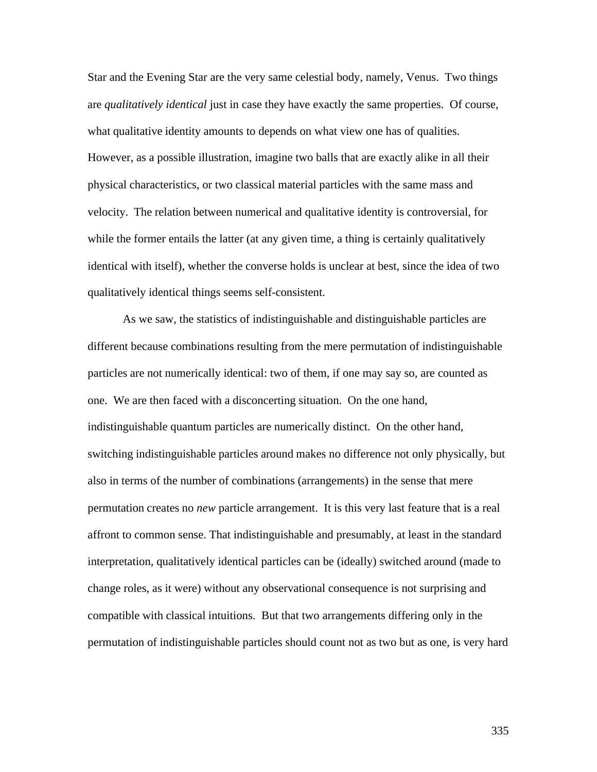Star and the Evening Star are the very same celestial body, namely, Venus. Two things are *qualitatively identical* just in case they have exactly the same properties. Of course, what qualitative identity amounts to depends on what view one has of qualities. However, as a possible illustration, imagine two balls that are exactly alike in all their physical characteristics, or two classical material particles with the same mass and velocity. The relation between numerical and qualitative identity is controversial, for while the former entails the latter (at any given time, a thing is certainly qualitatively identical with itself), whether the converse holds is unclear at best, since the idea of two qualitatively identical things seems self-consistent.

As we saw, the statistics of indistinguishable and distinguishable particles are different because combinations resulting from the mere permutation of indistinguishable particles are not numerically identical: two of them, if one may say so, are counted as one. We are then faced with a disconcerting situation. On the one hand, indistinguishable quantum particles are numerically distinct. On the other hand, switching indistinguishable particles around makes no difference not only physically, but also in terms of the number of combinations (arrangements) in the sense that mere permutation creates no *new* particle arrangement. It is this very last feature that is a real affront to common sense. That indistinguishable and presumably, at least in the standard interpretation, qualitatively identical particles can be (ideally) switched around (made to change roles, as it were) without any observational consequence is not surprising and compatible with classical intuitions. But that two arrangements differing only in the permutation of indistinguishable particles should count not as two but as one, is very hard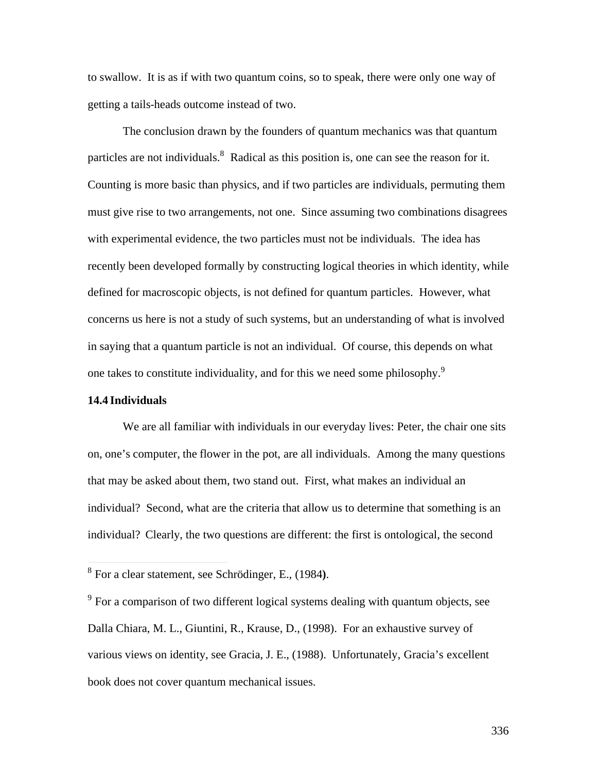to swallow. It is as if with two quantum coins, so to speak, there were only one way of getting a tails-heads outcome instead of two.

The conclusion drawn by the founders of quantum mechanics was that quantum particles are not individuals.<sup>8</sup> Radical as this position is, one can see the reason for it. Counting is more basic than physics, and if two particles are individuals, permuting them must give rise to two arrangements, not one. Since assuming two combinations disagrees with experimental evidence, the two particles must not be individuals. The idea has recently been developed formally by constructing logical theories in which identity, while defined for macroscopic objects, is not defined for quantum particles. However, what concerns us here is not a study of such systems, but an understanding of what is involved in saying that a quantum particle is not an individual. Of course, this depends on what one takes to constitute individuality, and for this we need some philosophy.<sup>9</sup>

#### **14.4 Individuals**

We are all familiar with individuals in our everyday lives: Peter, the chair one sits on, one's computer, the flower in the pot, are all individuals. Among the many questions that may be asked about them, two stand out. First, what makes an individual an individual? Second, what are the criteria that allow us to determine that something is an individual? Clearly, the two questions are different: the first is ontological, the second

 8 For a clear statement, see Schrödinger, E., (1984**)**.

<sup>&</sup>lt;sup>9</sup> For a comparison of two different logical systems dealing with quantum objects, see Dalla Chiara, M. L., Giuntini, R., Krause, D., (1998). For an exhaustive survey of various views on identity, see Gracia, J. E., (1988). Unfortunately, Gracia's excellent book does not cover quantum mechanical issues.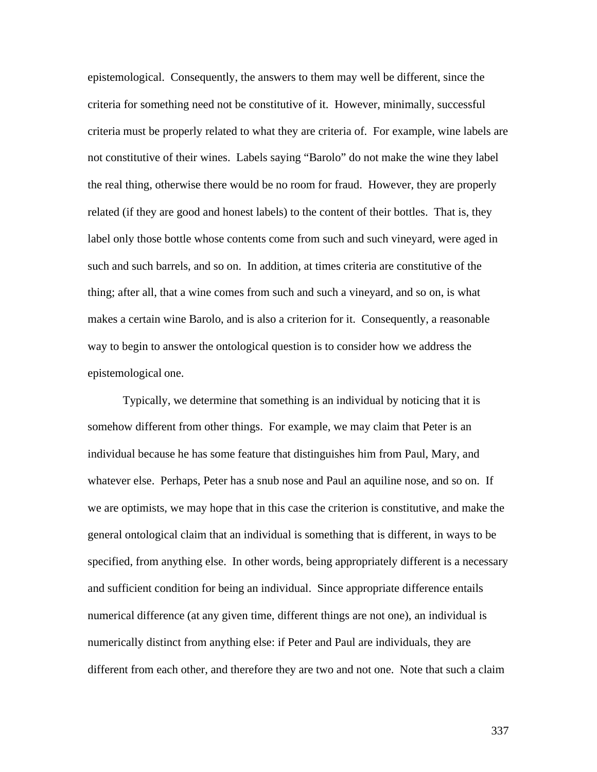epistemological. Consequently, the answers to them may well be different, since the criteria for something need not be constitutive of it. However, minimally, successful criteria must be properly related to what they are criteria of. For example, wine labels are not constitutive of their wines. Labels saying "Barolo" do not make the wine they label the real thing, otherwise there would be no room for fraud. However, they are properly related (if they are good and honest labels) to the content of their bottles. That is, they label only those bottle whose contents come from such and such vineyard, were aged in such and such barrels, and so on. In addition, at times criteria are constitutive of the thing; after all, that a wine comes from such and such a vineyard, and so on, is what makes a certain wine Barolo, and is also a criterion for it. Consequently, a reasonable way to begin to answer the ontological question is to consider how we address the epistemological one.

Typically, we determine that something is an individual by noticing that it is somehow different from other things. For example, we may claim that Peter is an individual because he has some feature that distinguishes him from Paul, Mary, and whatever else. Perhaps, Peter has a snub nose and Paul an aquiline nose, and so on. If we are optimists, we may hope that in this case the criterion is constitutive, and make the general ontological claim that an individual is something that is different, in ways to be specified, from anything else. In other words, being appropriately different is a necessary and sufficient condition for being an individual. Since appropriate difference entails numerical difference (at any given time, different things are not one), an individual is numerically distinct from anything else: if Peter and Paul are individuals, they are different from each other, and therefore they are two and not one. Note that such a claim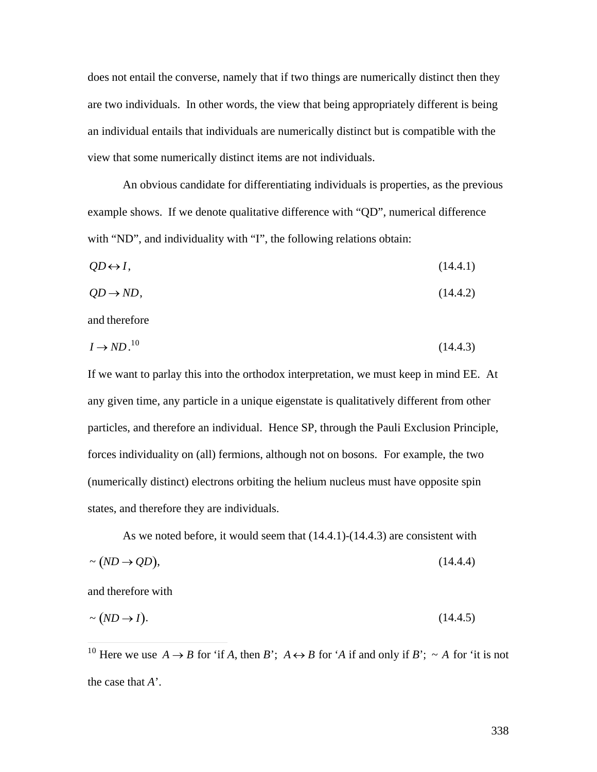does not entail the converse, namely that if two things are numerically distinct then they are two individuals. In other words, the view that being appropriately different is being an individual entails that individuals are numerically distinct but is compatible with the view that some numerically distinct items are not individuals.

An obvious candidate for differentiating individuals is properties, as the previous example shows. If we denote qualitative difference with "QD", numerical difference with "ND", and individuality with "I", the following relations obtain:

$$
QD \leftrightarrow I,\tag{14.4.1}
$$

$$
QD \to ND,\tag{14.4.2}
$$

and therefore

$$
I \to N D^{10} \tag{14.4.3}
$$

If we want to parlay this into the orthodox interpretation, we must keep in mind EE. At any given time, any particle in a unique eigenstate is qualitatively different from other particles, and therefore an individual. Hence SP, through the Pauli Exclusion Principle, forces individuality on (all) fermions, although not on bosons. For example, the two (numerically distinct) electrons orbiting the helium nucleus must have opposite spin states, and therefore they are individuals.

As we noted before, it would seem that (14.4.1)-(14.4.3) are consistent with  $\sim (ND \rightarrow QD),$  (14.4.4)

and therefore with

 $\overline{a}$ 

$$
\sim (ND \to I). \tag{14.4.5}
$$

<sup>&</sup>lt;sup>10</sup> Here we use  $A \rightarrow B$  for 'if *A*, then *B*';  $A \leftrightarrow B$  for '*A* if and only if *B*';  $\sim A$  for 'it is not the case that *A*'.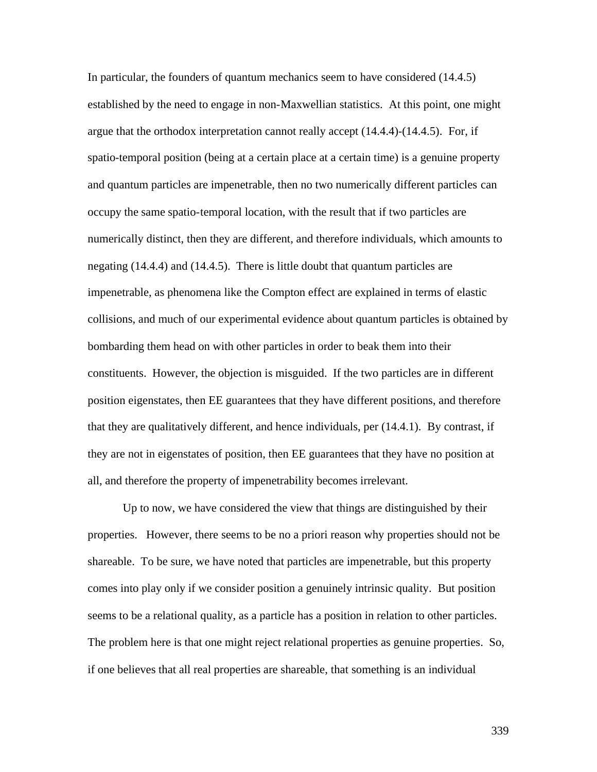In particular, the founders of quantum mechanics seem to have considered (14.4.5) established by the need to engage in non-Maxwellian statistics. At this point, one might argue that the orthodox interpretation cannot really accept (14.4.4)-(14.4.5). For, if spatio-temporal position (being at a certain place at a certain time) is a genuine property and quantum particles are impenetrable, then no two numerically different particles can occupy the same spatio-temporal location, with the result that if two particles are numerically distinct, then they are different, and therefore individuals, which amounts to negating (14.4.4) and (14.4.5). There is little doubt that quantum particles are impenetrable, as phenomena like the Compton effect are explained in terms of elastic collisions, and much of our experimental evidence about quantum particles is obtained by bombarding them head on with other particles in order to beak them into their constituents. However, the objection is misguided. If the two particles are in different position eigenstates, then EE guarantees that they have different positions, and therefore that they are qualitatively different, and hence individuals, per (14.4.1). By contrast, if they are not in eigenstates of position, then EE guarantees that they have no position at all, and therefore the property of impenetrability becomes irrelevant.

Up to now, we have considered the view that things are distinguished by their properties. However, there seems to be no a priori reason why properties should not be shareable. To be sure, we have noted that particles are impenetrable, but this property comes into play only if we consider position a genuinely intrinsic quality. But position seems to be a relational quality, as a particle has a position in relation to other particles. The problem here is that one might reject relational properties as genuine properties. So, if one believes that all real properties are shareable, that something is an individual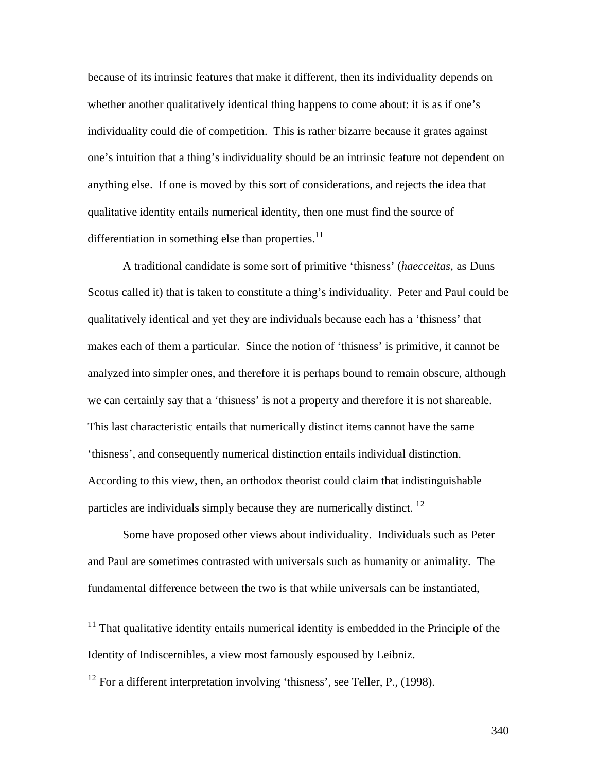because of its intrinsic features that make it different, then its individuality depends on whether another qualitatively identical thing happens to come about: it is as if one's individuality could die of competition. This is rather bizarre because it grates against one's intuition that a thing's individuality should be an intrinsic feature not dependent on anything else. If one is moved by this sort of considerations, and rejects the idea that qualitative identity entails numerical identity, then one must find the source of differentiation in something else than properties. $11$ 

A traditional candidate is some sort of primitive 'thisness' (*haecceitas*, as Duns Scotus called it) that is taken to constitute a thing's individuality. Peter and Paul could be qualitatively identical and yet they are individuals because each has a 'thisness' that makes each of them a particular. Since the notion of 'thisness' is primitive, it cannot be analyzed into simpler ones, and therefore it is perhaps bound to remain obscure, although we can certainly say that a 'thisness' is not a property and therefore it is not shareable. This last characteristic entails that numerically distinct items cannot have the same 'thisness', and consequently numerical distinction entails individual distinction. According to this view, then, an orthodox theorist could claim that indistinguishable particles are individuals simply because they are numerically distinct. <sup>12</sup>

Some have proposed other views about individuality. Individuals such as Peter and Paul are sometimes contrasted with universals such as humanity or animality. The fundamental difference between the two is that while universals can be instantiated,

 $\overline{a}$ 

 $11$  That qualitative identity entails numerical identity is embedded in the Principle of the Identity of Indiscernibles, a view most famously espoused by Leibniz.

<sup>&</sup>lt;sup>12</sup> For a different interpretation involving 'thisness', see Teller, P., (1998).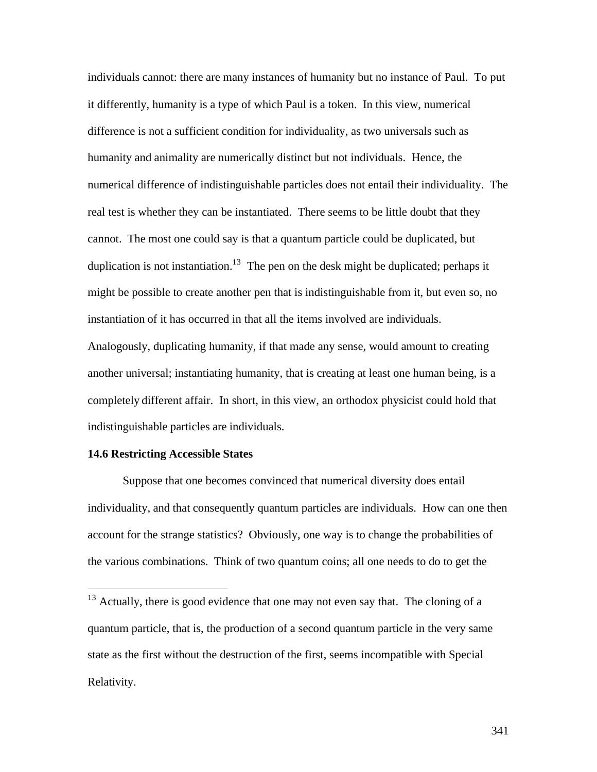individuals cannot: there are many instances of humanity but no instance of Paul. To put it differently, humanity is a type of which Paul is a token. In this view, numerical difference is not a sufficient condition for individuality, as two universals such as humanity and animality are numerically distinct but not individuals. Hence, the numerical difference of indistinguishable particles does not entail their individuality. The real test is whether they can be instantiated. There seems to be little doubt that they cannot. The most one could say is that a quantum particle could be duplicated, but duplication is not instantiation.<sup>13</sup> The pen on the desk might be duplicated; perhaps it might be possible to create another pen that is indistinguishable from it, but even so, no instantiation of it has occurred in that all the items involved are individuals. Analogously, duplicating humanity, if that made any sense, would amount to creating another universal; instantiating humanity, that is creating at least one human being, is a completely different affair. In short, in this view, an orthodox physicist could hold that indistinguishable particles are individuals.

### **14.6 Restricting Accessible States**

 $\overline{a}$ 

Suppose that one becomes convinced that numerical diversity does entail individuality, and that consequently quantum particles are individuals. How can one then account for the strange statistics? Obviously, one way is to change the probabilities of the various combinations. Think of two quantum coins; all one needs to do to get the

 $13$  Actually, there is good evidence that one may not even say that. The cloning of a quantum particle, that is, the production of a second quantum particle in the very same state as the first without the destruction of the first, seems incompatible with Special Relativity.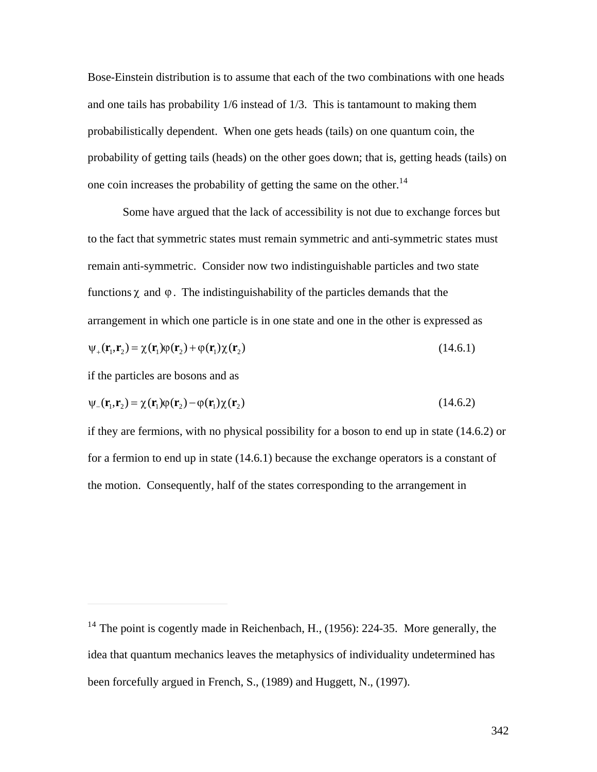Bose-Einstein distribution is to assume that each of the two combinations with one heads and one tails has probability 1/6 instead of 1/3. This is tantamount to making them probabilistically dependent. When one gets heads (tails) on one quantum coin, the probability of getting tails (heads) on the other goes down; that is, getting heads (tails) on one coin increases the probability of getting the same on the other. $14$ 

Some have argued that the lack of accessibility is not due to exchange forces but to the fact that symmetric states must remain symmetric and anti-symmetric states must remain anti-symmetric. Consider now two indistinguishable particles and two state functions  $\chi$  and  $\varphi$ . The indistinguishability of the particles demands that the arrangement in which one particle is in one state and one in the other is expressed as

$$
\psi_{+}(\mathbf{r}_{1},\mathbf{r}_{2}) = \chi(\mathbf{r}_{1})\phi(\mathbf{r}_{2}) + \phi(\mathbf{r}_{1})\chi(\mathbf{r}_{2})
$$
\n(14.6.1)

if the particles are bosons and as

 $\overline{a}$ 

$$
\psi_{-}(\mathbf{r}_1, \mathbf{r}_2) = \chi(\mathbf{r}_1)\phi(\mathbf{r}_2) - \phi(\mathbf{r}_1)\chi(\mathbf{r}_2)
$$
\n(14.6.2)

if they are fermions, with no physical possibility for a boson to end up in state (14.6.2) or for a fermion to end up in state (14.6.1) because the exchange operators is a constant of the motion. Consequently, half of the states corresponding to the arrangement in

<sup>&</sup>lt;sup>14</sup> The point is cogently made in Reichenbach, H., (1956): 224-35. More generally, the idea that quantum mechanics leaves the metaphysics of individuality undetermined has been forcefully argued in French, S., (1989) and Huggett, N., (1997).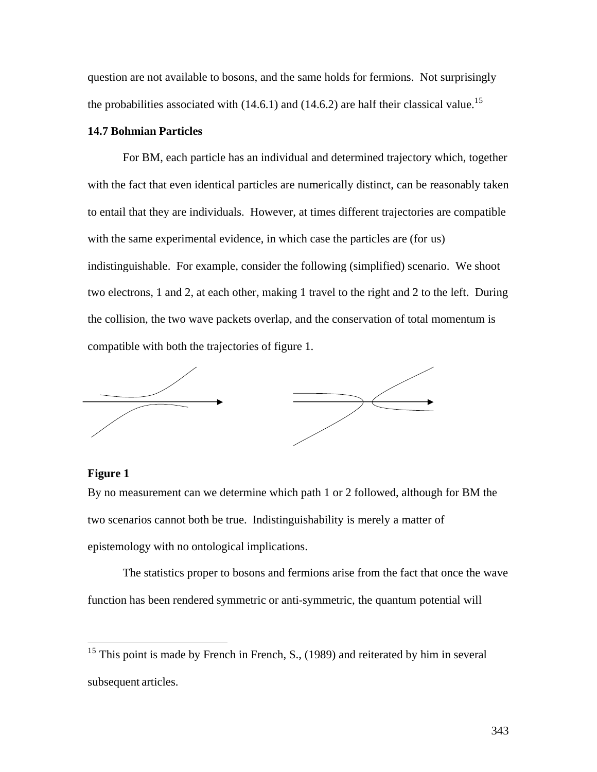question are not available to bosons, and the same holds for fermions. Not surprisingly the probabilities associated with  $(14.6.1)$  and  $(14.6.2)$  are half their classical value.<sup>15</sup>

### **14.7 Bohmian Particles**

For BM, each particle has an individual and determined trajectory which, together with the fact that even identical particles are numerically distinct, can be reasonably taken to entail that they are individuals. However, at times different trajectories are compatible with the same experimental evidence, in which case the particles are (for us) indistinguishable. For example, consider the following (simplified) scenario. We shoot two electrons, 1 and 2, at each other, making 1 travel to the right and 2 to the left. During the collision, the two wave packets overlap, and the conservation of total momentum is compatible with both the trajectories of figure 1.



## **Figure 1**

 $\overline{a}$ 

By no measurement can we determine which path 1 or 2 followed, although for BM the two scenarios cannot both be true. Indistinguishability is merely a matter of epistemology with no ontological implications.

The statistics proper to bosons and fermions arise from the fact that once the wave function has been rendered symmetric or anti-symmetric, the quantum potential will

<sup>&</sup>lt;sup>15</sup> This point is made by French in French, S.,  $(1989)$  and reiterated by him in several subsequent articles.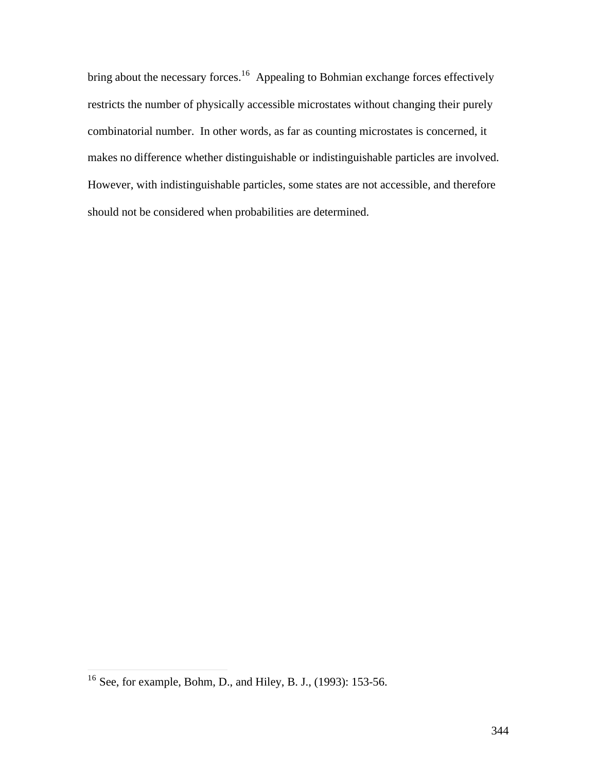bring about the necessary forces.<sup>16</sup> Appealing to Bohmian exchange forces effectively restricts the number of physically accessible microstates without changing their purely combinatorial number. In other words, as far as counting microstates is concerned, it makes no difference whether distinguishable or indistinguishable particles are involved. However, with indistinguishable particles, some states are not accessible, and therefore should not be considered when probabilities are determined.

 $\overline{a}$ 

<sup>&</sup>lt;sup>16</sup> See, for example, Bohm, D., and Hiley, B. J., (1993): 153-56.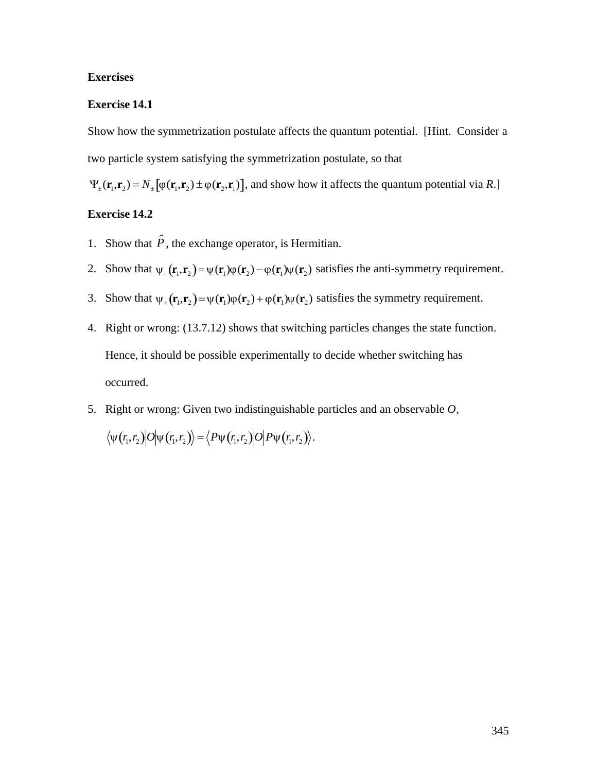# **Exercises**

# **Exercise 14.1**

Show how the symmetrization postulate affects the quantum potential. [Hint. Consider a two particle system satisfying the symmetrization postulate, so that

 $\Psi_{\pm}(\mathbf{r}_1, \mathbf{r}_2) = N_{\pm} [\varphi(\mathbf{r}_1, \mathbf{r}_2) \pm \varphi(\mathbf{r}_2, \mathbf{r}_1)]$ , and show how it affects the quantum potential via *R*.]

## **Exercise 14.2**

- 1. Show that  $\hat{P}$ , the exchange operator, is Hermitian.
- 2. Show that  $\psi$ <sub>-</sub> $(\mathbf{r}_1, \mathbf{r}_2) = \psi(\mathbf{r}_1)\phi(\mathbf{r}_2) \phi(\mathbf{r}_1)\psi(\mathbf{r}_2)$  satisfies the anti-symmetry requirement.
- 3. Show that  $\psi_+(\mathbf{r}_1, \mathbf{r}_2) = \psi(\mathbf{r}_1)\phi(\mathbf{r}_2) + \phi(\mathbf{r}_1)\psi(\mathbf{r}_2)$  satisfies the symmetry requirement.
- $\mathbf{r}$  +  $\mathbf{r}$ Hence, it should be possible experimentally to decide whether switching has 4. Right or wrong: (13.7.12) shows that switching particles changes the state function. occurred.
- 5. Right or wrong: Given two indistinguishable particles and an observable *O*,  $\langle \psi(r_1, r_2) | O | \psi(r_1, r_2) \rangle = \langle P \psi(r_1, r_2) | O | P \psi(r_1, r_2) \rangle.$